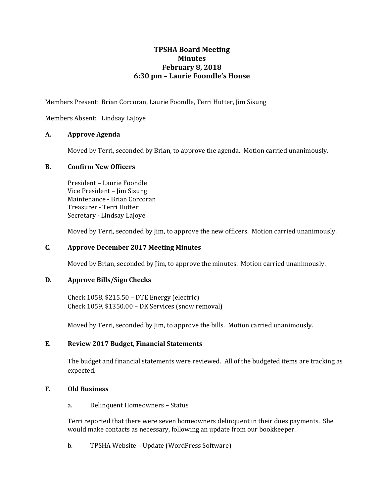# **TPSHA Board Meeting Minutes February 8, 2018 6:30 pm – Laurie Foondle's House**

Members Present: Brian Corcoran, Laurie Foondle, Terri Hutter, Jim Sisung

Members Absent: Lindsay LaJoye

### **A. Approve Agenda**

Moved by Terri, seconded by Brian, to approve the agenda. Motion carried unanimously.

#### **B. Confirm New Officers**

President – Laurie Foondle Vice President – Jim Sisung Maintenance - Brian Corcoran Treasurer - Terri Hutter Secretary - Lindsay LaJoye

Moved by Terri, seconded by Jim, to approve the new officers. Motion carried unanimously.

#### **C. Approve December 2017 Meeting Minutes**

Moved by Brian, seconded by Jim, to approve the minutes. Motion carried unanimously.

#### **D. Approve Bills/Sign Checks**

Check 1058, \$215.50 – DTE Energy (electric) Check 1059, \$1350.00 – DK Services (snow removal)

Moved by Terri, seconded by Jim, to approve the bills. Motion carried unanimously.

#### **E. Review 2017 Budget, Financial Statements**

The budget and financial statements were reviewed. All of the budgeted items are tracking as expected.

#### **F. Old Business**

a. Delinquent Homeowners – Status

Terri reported that there were seven homeowners delinquent in their dues payments. She would make contacts as necessary, following an update from our bookkeeper.

b. TPSHA Website – Update (WordPress Software)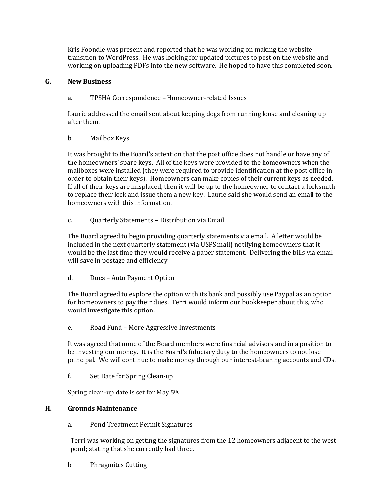Kris Foondle was present and reported that he was working on making the website transition to WordPress. He was looking for updated pictures to post on the website and working on uploading PDFs into the new software. He hoped to have this completed soon.

### **G. New Business**

a. TPSHA Correspondence – Homeowner-related Issues

Laurie addressed the email sent about keeping dogs from running loose and cleaning up after them.

b. Mailbox Keys

It was brought to the Board's attention that the post office does not handle or have any of the homeowners' spare keys. All of the keys were provided to the homeowners when the mailboxes were installed (they were required to provide identification at the post office in order to obtain their keys). Homeowners can make copies of their current keys as needed. If all of their keys are misplaced, then it will be up to the homeowner to contact a locksmith to replace their lock and issue them a new key. Laurie said she would send an email to the homeowners with this information.

c. Quarterly Statements – Distribution via Email

The Board agreed to begin providing quarterly statements via email. A letter would be included in the next quarterly statement (via USPS mail) notifying homeowners that it would be the last time they would receive a paper statement. Delivering the bills via email will save in postage and efficiency.

d. Dues – Auto Payment Option

The Board agreed to explore the option with its bank and possibly use Paypal as an option for homeowners to pay their dues. Terri would inform our bookkeeper about this, who would investigate this option.

e. Road Fund – More Aggressive Investments

It was agreed that none of the Board members were financial advisors and in a position to be investing our money. It is the Board's fiduciary duty to the homeowners to not lose principal. We will continue to make money through our interest-bearing accounts and CDs.

f. Set Date for Spring Clean-up

Spring clean-up date is set for May 5<sup>th</sup>.

#### **H. Grounds Maintenance**

a. Pond Treatment Permit Signatures

Terri was working on getting the signatures from the 12 homeowners adjacent to the west pond; stating that she currently had three.

b. Phragmites Cutting